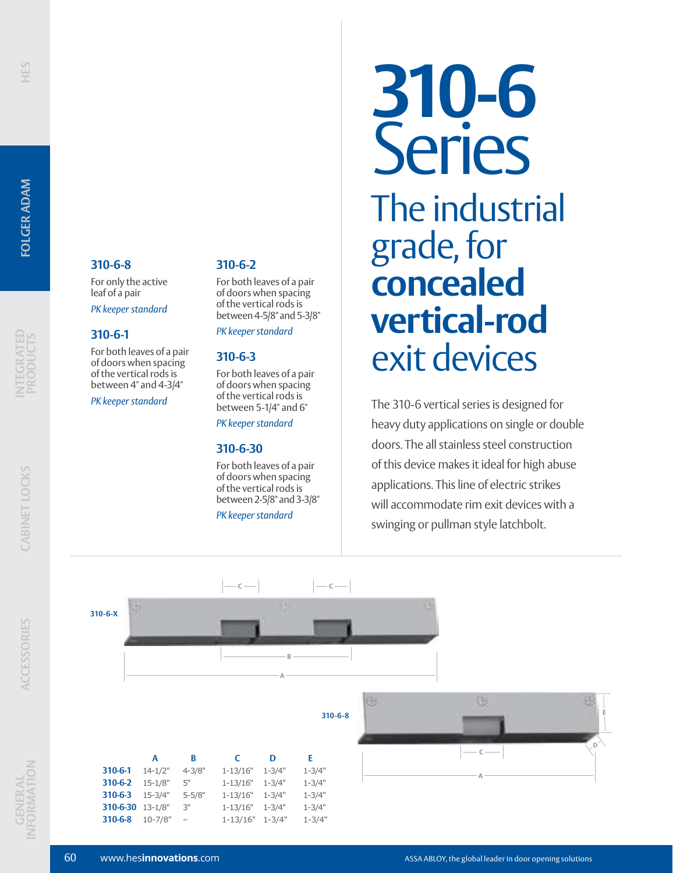**INTEGRATED PRODUCTS**

### **310-6-8**

For only the active leaf of a pair

*PK keeper standard*

### **310-6-1**

For both leaves of a pair of doors when spacing of the vertical rods is between 4" and 4-3/4"

*PK keeper standard*

### **310-6-2**

For both leaves of a pair of doors when spacing of the vertical rods is between 4-5/8" and 5-3/8"

*PK keeper standard*

### **310-6-3**

For both leaves of a pair of doors when spacing of the vertical rods is between 5-1/4" and 6"

*PK keeper standard*

### **310-6-30**

For both leaves of a pair of doors when spacing of the vertical rods is between 2-5/8" and 3-3/8"

**c** — **C** — **C** 

*PK keeper standard*

## **310-6** Series The industrial grade, for **concealed vertical-rod** exit devices

The 310-6 vertical series is designed for heavy duty applications on single or double doors. The all stainless steel construction of this device makes it ideal for high abuse applications. This line of electric strikes will accommodate rim exit devices with a swinging or pullman style latchbolt.

**CABINET LOCKS**

CABINET LOCKS



|                  | А           | B                        | C            | D          | F.         |
|------------------|-------------|--------------------------|--------------|------------|------------|
| 310-6-1          | $14 - 1/2"$ | $4 - 3/8"$               | $1 - 13/16"$ | $1 - 3/4"$ | $1 - 3/4"$ |
| $310 - 6 - 2$    | $15 - 1/8"$ | 5"                       | $1 - 13/16"$ | $1 - 3/4"$ | $1 - 3/4"$ |
| 310-6-3 15-3/4"  |             | $5 - 5/8"$               | $1 - 13/16"$ | $1 - 3/4"$ | $1 - 3/4"$ |
| 310-6-30 13-1/8" |             | 3"                       | $1 - 13/16"$ | $1 - 3/4"$ | $1 - 3/4"$ |
| 310-6-8          | $10 - 7/8"$ | $\overline{\phantom{0}}$ | $1 - 13/16"$ | $1 - 3/4"$ | $1 - 3/4"$ |

B **310-6-8 <sup>E</sup> D C A**